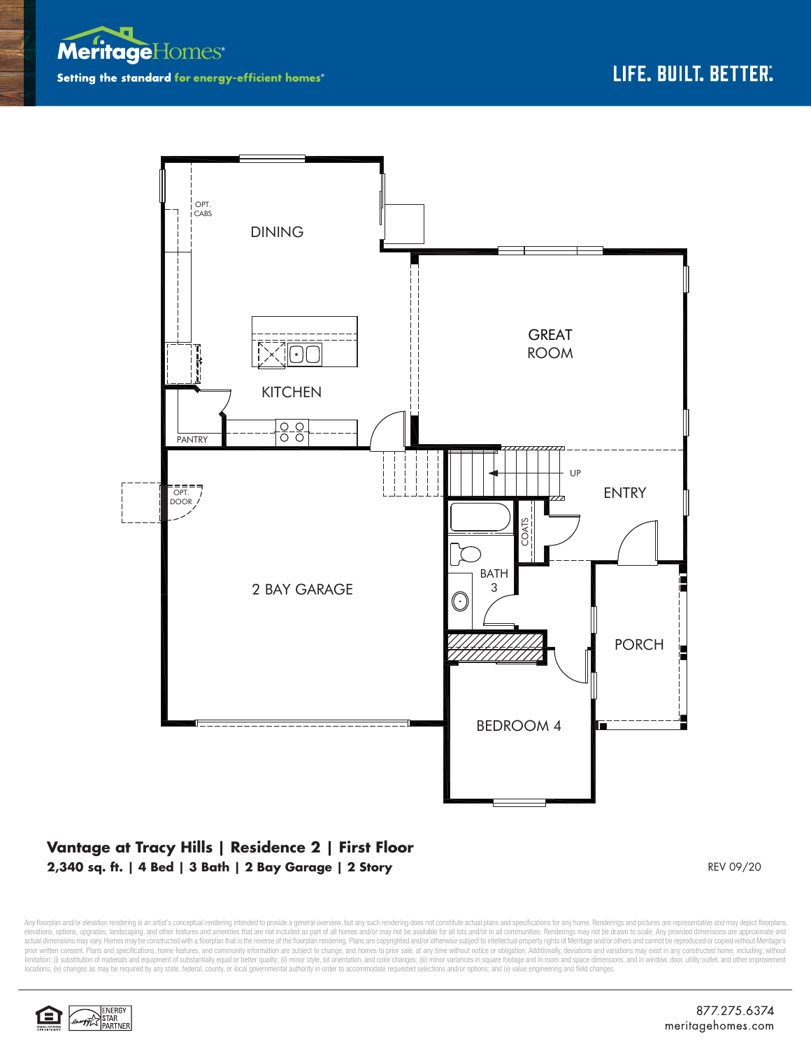



## **Vantage at Tracy Hills | Residence 2 | First Floor 2,340 sq. ft. | 4 Bed | 3 Bath | 2 Bay Garage | 2 Story** REV 09/20

Any floorplan and/or elevation rendering is an artist's conceptual rendering intended to provide a general overview, but any such rendering does not constitute actual plans and specifications for any home. Renderings and p elevations, opions, upgrades, landscaping, and other features and amenities that are not included as part of all homes and/or may not be available for all lots and/or in all communities. Renderings may not be drawn to scal prior written consent. Plans and specifications, home features, and community information are subject to change, and homes to prior sale, at any time without notice or obligation. Additionally, deviations and variations ma limitation: (i) substitution of materials and equipment of substantially equal or better quality; (ii) minor style, lot orientation, and color changes; (iii) minor variances in square footage and in room and space dimensio